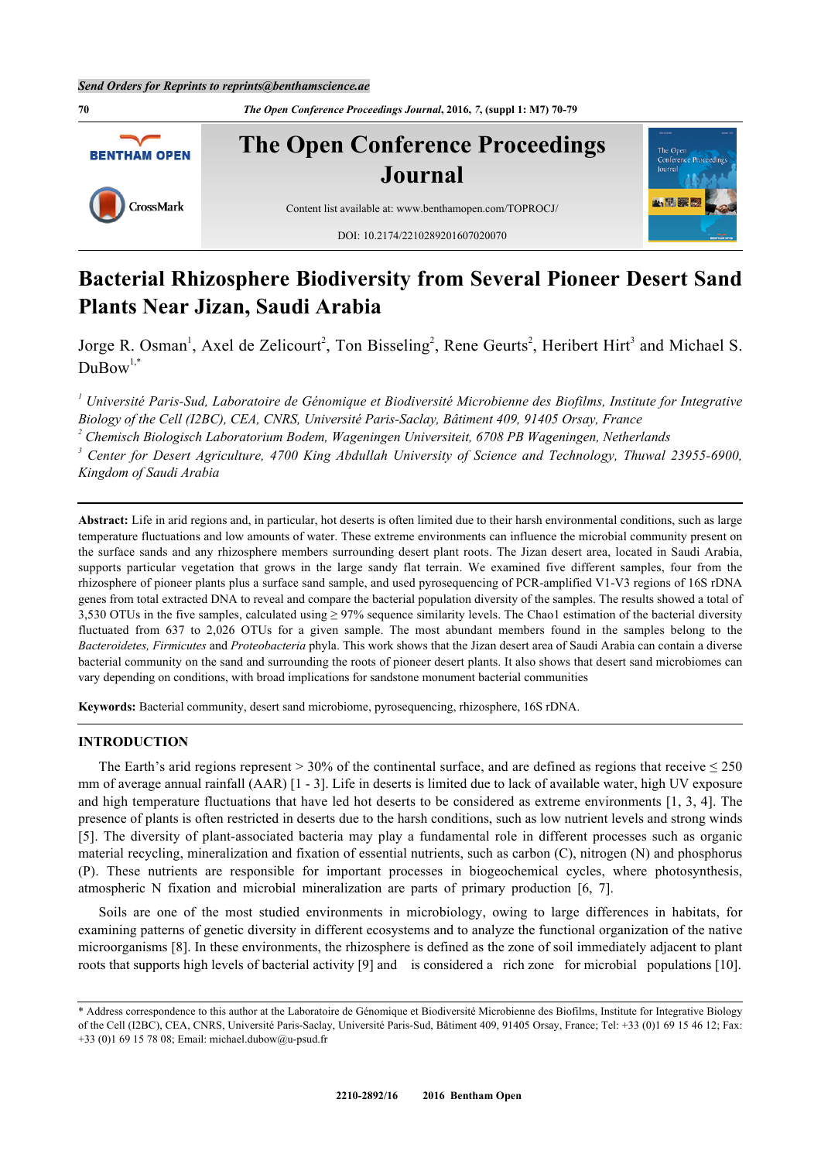**70** *The Open Conference Proceedings Journal***, 2016,** *7***, (suppl 1: M7) 70-79**



# **Bacterial Rhizosphere Biodiversity from Several Pioneer Desert Sand Plants Near Jizan, Saudi Arabia**

Jorge R. Osman<sup>[1](#page-0-0)</sup>, Axel de Zelicourt<sup>[2](#page-0-1)</sup>, Ton Bisseling<sup>2</sup>, Rene Geurts<sup>2</sup>, Heribert Hirt<sup>[3](#page-0-2)</sup> and Michael S.  $DuBow^{1,*}$  $DuBow^{1,*}$  $DuBow^{1,*}$  $DuBow^{1,*}$  $DuBow^{1,*}$ 

<span id="page-0-0"></span>*1 Université Paris-Sud, Laboratoire de Génomique et Biodiversité Microbienne des Biofilms, Institute for Integrative Biology of the Cell (I2BC), CEA, CNRS, Université Paris-Saclay, Bâtiment 409, 91405 Orsay, France*

<span id="page-0-1"></span><sup>2</sup> Chemisch Biologisch Laboratorium Bodem, Wageningen Universiteit, 6708 PB Wageningen, Netherlands

<span id="page-0-2"></span>*3 Center for Desert Agriculture, 4700 King Abdullah University of Science and Technology, Thuwal 23955-6900, Kingdom of Saudi Arabia*

**Abstract:** Life in arid regions and, in particular, hot deserts is often limited due to their harsh environmental conditions, such as large temperature fluctuations and low amounts of water. These extreme environments can influence the microbial community present on the surface sands and any rhizosphere members surrounding desert plant roots. The Jizan desert area, located in Saudi Arabia, supports particular vegetation that grows in the large sandy flat terrain. We examined five different samples, four from the rhizosphere of pioneer plants plus a surface sand sample, and used pyrosequencing of PCR-amplified V1-V3 regions of 16S rDNA genes from total extracted DNA to reveal and compare the bacterial population diversity of the samples. The results showed a total of 3,530 OTUs in the five samples, calculated using ≥ 97% sequence similarity levels. The Chao1 estimation of the bacterial diversity fluctuated from 637 to 2,026 OTUs for a given sample. The most abundant members found in the samples belong to the *Bacteroidetes, Firmicutes* and *Proteobacteria* phyla. This work shows that the Jizan desert area of Saudi Arabia can contain a diverse bacterial community on the sand and surrounding the roots of pioneer desert plants. It also shows that desert sand microbiomes can vary depending on conditions, with broad implications for sandstone monument bacterial communities

**Keywords:** Bacterial community, desert sand microbiome, pyrosequencing, rhizosphere, 16S rDNA.

## **INTRODUCTION**

The Earth's arid regions represent > 30% of the continental surface, and are defined as regions that receive  $\leq$  250 mm of average annual rainfall (AAR) [\[1](#page-7-0) - [3\]](#page-7-1). Life in deserts is limited due to lack of available water, high UV exposure and high temperature fluctuations that have led hot deserts to be considered as extreme environments [[1,](#page-7-0) [3,](#page-7-1) [4\]](#page-7-2). The presence of plants is often restricted in deserts due to the harsh conditions, such as low nutrient levels and strong winds [\[5](#page-7-3)]. The diversity of plant-associated bacteria may play a fundamental role in different processes such as organic material recycling, mineralization and fixation of essential nutrients, such as carbon (C), nitrogen (N) and phosphorus (P). These nutrients are responsible for important processes in biogeochemical cycles, where photosynthesis, atmospheric N fixation and microbial mineralization are parts of primary production [\[6](#page-7-4), [7](#page-7-5)].

Soils are one of the most studied environments in microbiology, owing to large differences in habitats, for examining patterns of genetic diversity in different ecosystems and to analyze the functional organization of the native microorganisms [[8\]](#page-7-6). In these environments, the rhizosphere is defined as the zone of soil immediately adjacent to plant roots that supports high levels of bacterial activity [[9\]](#page-7-7) and is considered a rich zone for microbial populations [[10\]](#page-7-8).

<span id="page-0-3"></span><sup>\*</sup> Address correspondence to this author at the Laboratoire de Génomique et Biodiversité Microbienne des Biofilms, Institute for Integrative Biology of the Cell (I2BC), CEA, CNRS, Université Paris-Saclay, Université Paris-Sud, Bâtiment 409, 91405 Orsay, France; Tel: +33 (0)1 69 15 46 12; Fax: +33 (0)1 69 15 78 08; Email: [michael.dubow@u-psud.fr](mailto:michael.dubow@u-psud.fr)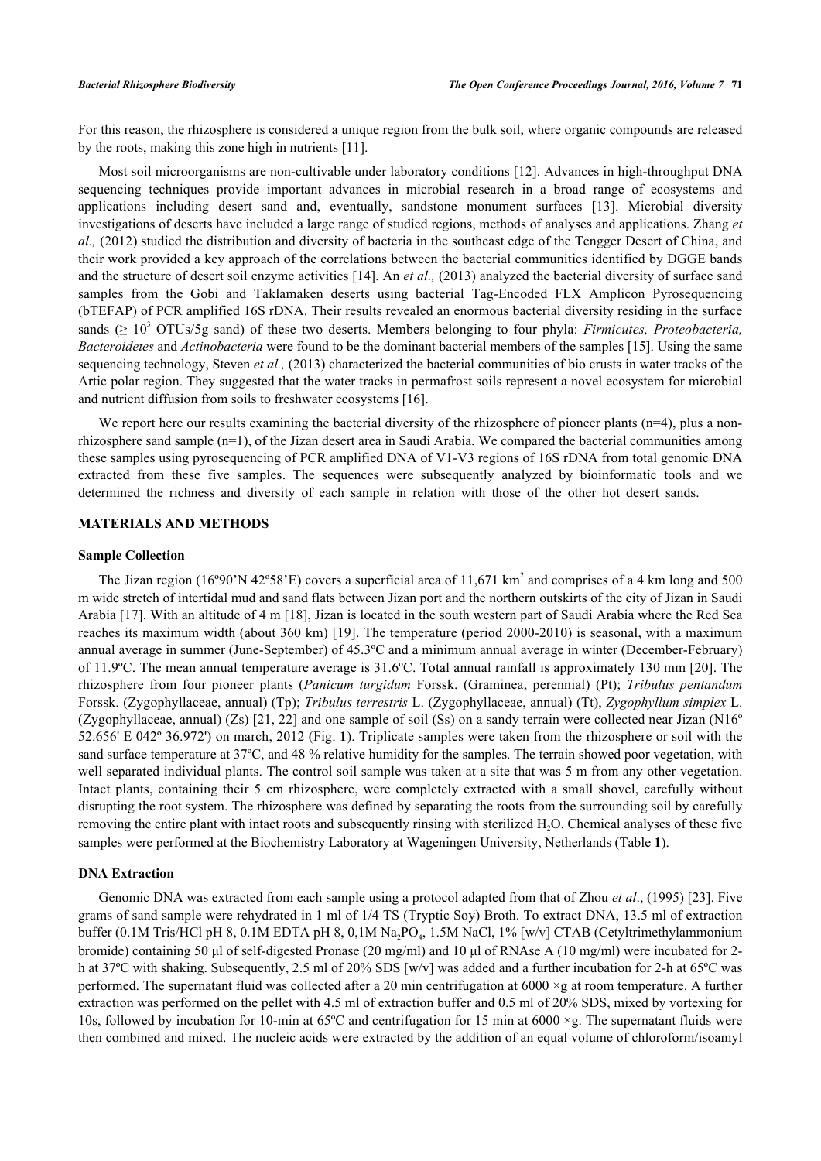For this reason, the rhizosphere is considered a unique region from the bulk soil, where organic compounds are released by the roots, making this zone high in nutrients [\[11](#page-7-9)].

Most soil microorganisms are non-cultivable under laboratory conditions [[12](#page-7-10)]. Advances in high-throughput DNA sequencing techniques provide important advances in microbial research in a broad range of ecosystems and applications including desert sand and, eventually, sandstone monument surfaces[[13\]](#page-7-11). Microbial diversity investigations of deserts have included a large range of studied regions, methods of analyses and applications. Zhang *et al.,* (2012) studied the distribution and diversity of bacteria in the southeast edge of the Tengger Desert of China, and their work provided a key approach of the correlations between the bacterial communities identified by DGGE bands and the structure of desert soil enzyme activities [[14](#page-8-0)]. An *et al.,* (2013) analyzed the bacterial diversity of surface sand samples from the Gobi and Taklamaken deserts using bacterial Tag-Encoded FLX Amplicon Pyrosequencing (bTEFAP) of PCR amplified 16S rDNA. Their results revealed an enormous bacterial diversity residing in the surface sands ( $\geq 10^3$  OTUs/5g sand) of these two deserts. Members belonging to four phyla: *Firmicutes, Proteobacteria*, *Bacteroidetes* and *Actinobacteria* were found to be the dominant bacterial members of the samples [\[15](#page-8-1)]. Using the same sequencing technology, Steven *et al.,* (2013) characterized the bacterial communities of bio crusts in water tracks of the Artic polar region. They suggested that the water tracks in permafrost soils represent a novel ecosystem for microbial and nutrient diffusion from soils to freshwater ecosystems [[16\]](#page-8-2).

We report here our results examining the bacterial diversity of the rhizosphere of pioneer plants  $(n=4)$ , plus a nonrhizosphere sand sample (n=1), of the Jizan desert area in Saudi Arabia. We compared the bacterial communities among these samples using pyrosequencing of PCR amplified DNA of V1-V3 regions of 16S rDNA from total genomic DNA extracted from these five samples. The sequences were subsequently analyzed by bioinformatic tools and we determined the richness and diversity of each sample in relation with those of the other hot desert sands.

# **MATERIALS AND METHODS**

### **Sample Collection**

The Jizan region (16°90'N 42°58'E) covers a superficial area of 11,671 km<sup>2</sup> and comprises of a 4 km long and 500 m wide stretch of intertidal mud and sand flats between Jizan port and the northern outskirts of the city of Jizan in Saudi Arabia [\[17](#page-8-3)]. With an altitude of 4 m [[18\]](#page-8-4), Jizan is located in the south western part of Saudi Arabia where the Red Sea reaches its maximum width (about 360 km) [[19\]](#page-8-5). The temperature (period 2000-2010) is seasonal, with a maximum annual average in summer (June-September) of 45.3ºC and a minimum annual average in winter (December-February) of 11.9ºC. The mean annual temperature average is 31.6ºC. Total annual rainfall is approximately 130 mm [[20\]](#page-8-6). The rhizosphere from four pioneer plants (*Panicum turgidum* Forssk. (Graminea, perennial) (Pt); *Tribulus pentandum* Forssk. (Zygophyllaceae, annual) (Tp); *Tribulus terrestris* L. (Zygophyllaceae, annual) (Tt), *Zygophyllum simplex* L. (Zygophyllaceae, annual) (Zs)  $[21, 22]$  $[21, 22]$  $[21, 22]$  $[21, 22]$  and one sample of soil (Ss) on a sandy terrain were collected near Jizan (N16<sup>o</sup>) 52.656' E 042º 36.972') on march, 2012 (Fig. **[1](#page-2-0)**). Triplicate samples were taken from the rhizosphere or soil with the sand surface temperature at 37ºC, and 48 % relative humidity for the samples. The terrain showed poor vegetation, with well separated individual plants. The control soil sample was taken at a site that was 5 m from any other vegetation. Intact plants, containing their 5 cm rhizosphere, were completely extracted with a small shovel, carefully without disrupting the root system. The rhizosphere was defined by separating the roots from the surrounding soil by carefully removing the entire plant with intact roots and subsequently rinsing with sterilized H<sub>2</sub>O. Chemical analyses of these five samples were performed at the Biochemistry Laboratory at Wageningen University, Netherlands (Table **[1](#page-2-1)**).

## **DNA Extraction**

Genomic DNA was extracted from each sample using a protocol adapted from that of Zhou *et al*., (1995) [\[23](#page-8-9)]. Five grams of sand sample were rehydrated in 1 ml of 1/4 TS (Tryptic Soy) Broth. To extract DNA, 13.5 ml of extraction buffer (0.1M Tris/HCl pH 8, 0.1M EDTA pH 8, 0,1M Na<sub>2</sub>PO<sub>4</sub>, 1.5M NaCl, 1% [w/v] CTAB (Cetyltrimethylammonium bromide) containing 50 μl of self-digested Pronase (20 mg/ml) and 10 μl of RNAse A (10 mg/ml) were incubated for 2 h at 37ºC with shaking. Subsequently, 2.5 ml of 20% SDS [w/v] was added and a further incubation for 2-h at 65ºC was performed. The supernatant fluid was collected after a 20 min centrifugation at  $6000 \times g$  at room temperature. A further extraction was performed on the pellet with 4.5 ml of extraction buffer and 0.5 ml of 20% SDS, mixed by vortexing for 10s, followed by incubation for 10-min at  $65^{\circ}$ C and centrifugation for 15 min at  $6000 \times g$ . The supernatant fluids were then combined and mixed. The nucleic acids were extracted by the addition of an equal volume of chloroform/isoamyl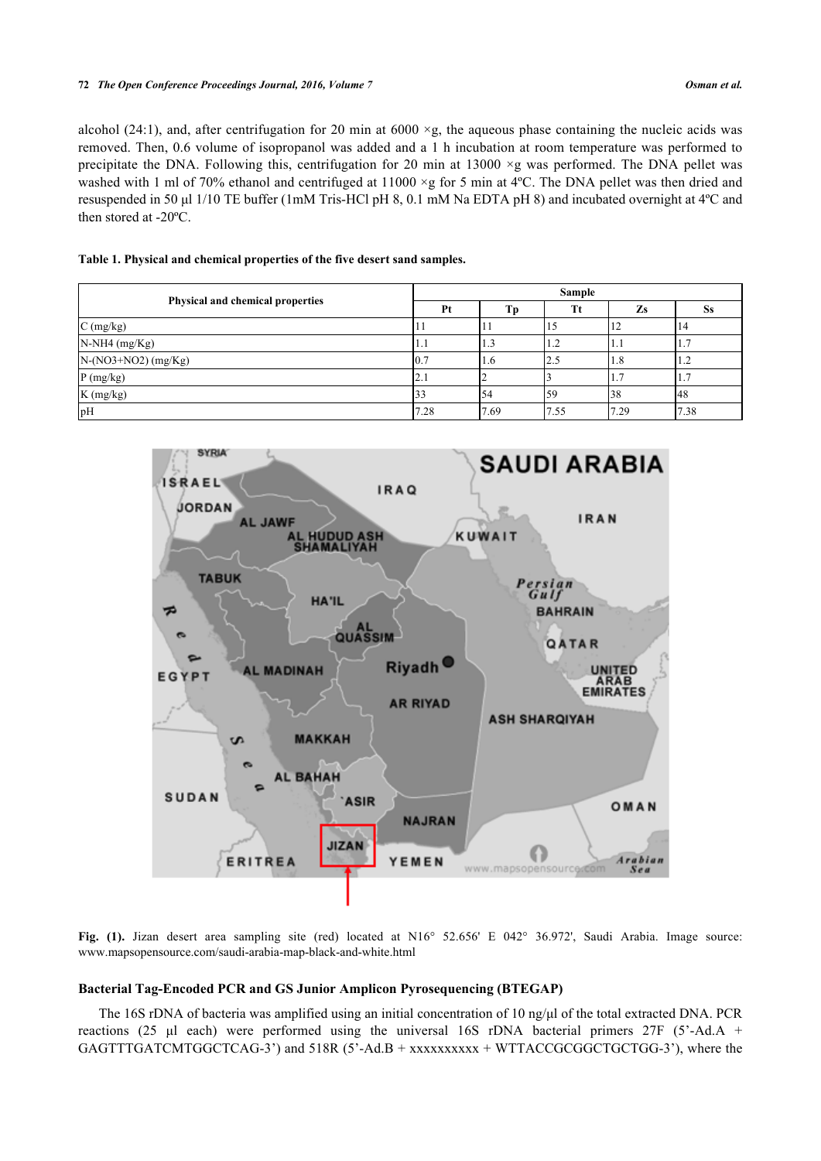### **72** *The Open Conference Proceedings Journal, 2016, Volume 7 Osman et al.*

alcohol (24:1), and, after centrifugation for 20 min at  $6000 \times g$ , the aqueous phase containing the nucleic acids was removed. Then, 0.6 volume of isopropanol was added and a 1 h incubation at room temperature was performed to precipitate the DNA. Following this, centrifugation for 20 min at 13000  $\times$ g was performed. The DNA pellet was washed with 1 ml of 70% ethanol and centrifuged at 11000 ×g for 5 min at 4°C. The DNA pellet was then dried and resuspended in 50 μl 1/10 TE buffer (1mM Tris-HCl pH 8, 0.1 mM Na EDTA pH 8) and incubated overnight at 4ºC and then stored at -20ºC.

# <span id="page-2-1"></span>**Table 1. Physical and chemical properties of the five desert sand samples.**

|                                  | <b>Sample</b> |      |      |      |      |  |
|----------------------------------|---------------|------|------|------|------|--|
| Physical and chemical properties | Pt            | Tр   | Tt   | Zs   | ðS.  |  |
| $C$ (mg/kg)                      |               |      |      |      |      |  |
| $N-NH4$ (mg/Kg)                  |               | 1.3  | 1.2  |      |      |  |
| $N-(NO3+NO2)$ (mg/Kg)            | 10.           | 1.6  | 2.5  | 1.0  | 1.2  |  |
| P(mg/kg)                         | 12.1          |      |      |      | 1.   |  |
| K (mg/kg)                        |               | '54  | ٢g   | 38   | 48   |  |
| pH                               | 7.28          | 7.69 | 7.55 | 7.29 | 7.38 |  |

<span id="page-2-0"></span>

**Fig. (1).** Jizan desert area sampling site (red) located at N16° 52.656' E 042° 36.972', Saudi Arabia. Image source: [www.mapsopensource.com/saudi-arabia-map-black-and-white.html](http://www.mapsopensource.com/saudi-arabia-map-black-and-white.html)

# **Bacterial Tag-Encoded PCR and GS Junior Amplicon Pyrosequencing (BTEGAP)**

The 16S rDNA of bacteria was amplified using an initial concentration of 10 ng/μl of the total extracted DNA. PCR reactions (25 μl each) were performed using the universal 16S rDNA bacterial primers 27F (5'-Ad.A + GAGTTTGATCMTGGCTCAG-3') and 518R (5'-Ad.B + xxxxxxxxxx + WTTACCGCGGCTGCTGG-3'), where the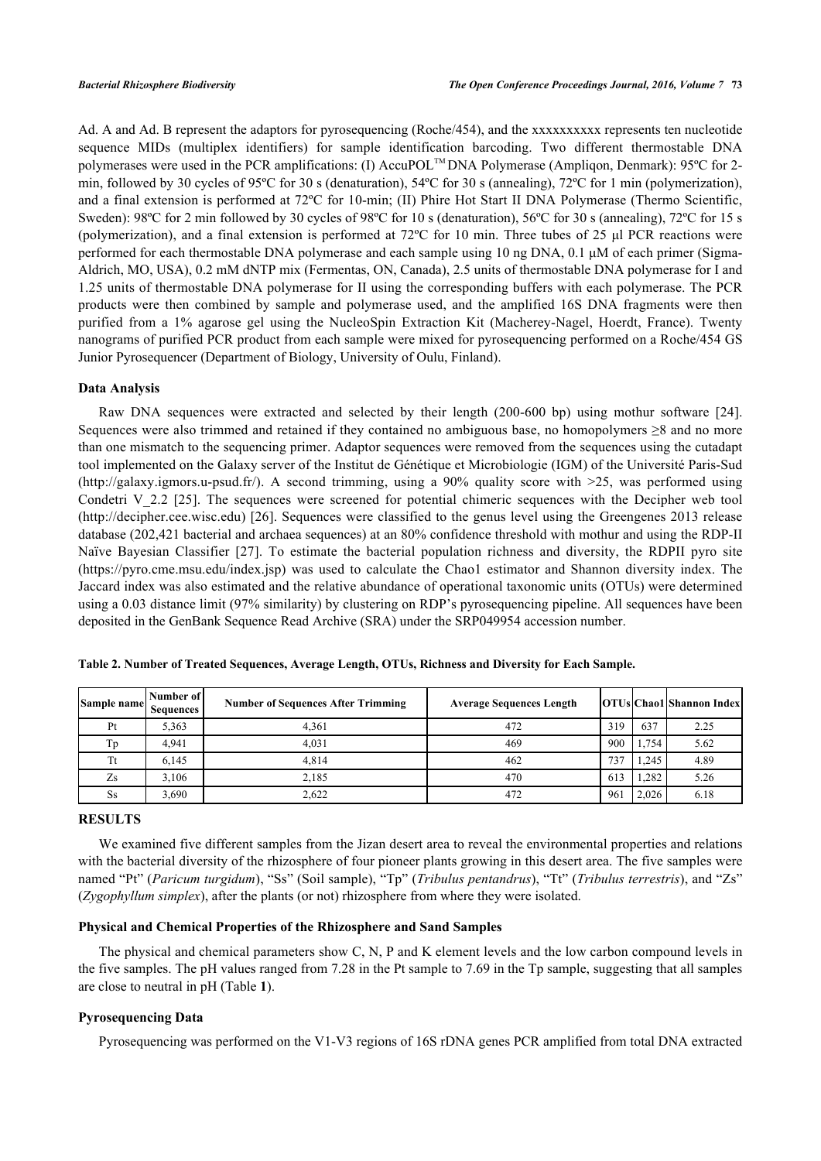Ad. A and Ad. B represent the adaptors for pyrosequencing (Roche/454), and the xxxxxxxxxx represents ten nucleotide sequence MIDs (multiplex identifiers) for sample identification barcoding. Two different thermostable DNA polymerases were used in the PCR amplifications: (I) AccuPOL<sup>™</sup> DNA Polymerase (Ampliqon, Denmark): 95°C for 2min, followed by 30 cycles of 95ºC for 30 s (denaturation), 54ºC for 30 s (annealing), 72ºC for 1 min (polymerization), and a final extension is performed at 72ºC for 10-min; (II) Phire Hot Start II DNA Polymerase (Thermo Scientific, Sweden): 98ºC for 2 min followed by 30 cycles of 98ºC for 10 s (denaturation), 56ºC for 30 s (annealing), 72ºC for 15 s (polymerization), and a final extension is performed at 72ºC for 10 min. Three tubes of 25 μl PCR reactions were performed for each thermostable DNA polymerase and each sample using 10 ng DNA, 0.1 μM of each primer (Sigma-Aldrich, MO, USA), 0.2 mM dNTP mix (Fermentas, ON, Canada), 2.5 units of thermostable DNA polymerase for I and 1.25 units of thermostable DNA polymerase for II using the corresponding buffers with each polymerase. The PCR products were then combined by sample and polymerase used, and the amplified 16S DNA fragments were then purified from a 1% agarose gel using the NucleoSpin Extraction Kit (Macherey-Nagel, Hoerdt, France). Twenty nanograms of purified PCR product from each sample were mixed for pyrosequencing performed on a Roche/454 GS Junior Pyrosequencer (Department of Biology, University of Oulu, Finland).

# **Data Analysis**

Raw DNA sequences were extracted and selected by their length (200-600 bp) using mothur software [\[24\]](#page-8-10). Sequences were also trimmed and retained if they contained no ambiguous base, no homopolymers ≥8 and no more than one mismatch to the sequencing primer. Adaptor sequences were removed from the sequences using the cutadapt tool implemented on the Galaxy server of the Institut de Génétique et Microbiologie (IGM) of the Université Paris-Sud [\(http://galaxy.igmors.u-psud.fr/\)](http://galaxy.igmors.u-psud.fr/). A second trimming, using a 90% quality score with >25, was performed using Condetri V\_2.2 [\[25\]](#page-8-11). The sequences were screened for potential chimeric sequences with the Decipher web tool [\(http://decipher.cee.wisc.edu\)](http://decipher.cee.wisc.edu) [[26](#page-8-12)]. Sequences were classified to the genus level using the Greengenes 2013 release database (202,421 bacterial and archaea sequences) at an 80% confidence threshold with mothur and using the RDP-II Naïve Bayesian Classifier [\[27\]](#page-8-13). To estimate the bacterial population richness and diversity, the RDPII pyro site [\(https://pyro.cme.msu.edu/index.jsp](https://pyro.cme.msu.edu/index.jsp)) was used to calculate the Chao1 estimator and Shannon diversity index. The Jaccard index was also estimated and the relative abundance of operational taxonomic units (OTUs) were determined using a 0.03 distance limit (97% similarity) by clustering on RDP's pyrosequencing pipeline. All sequences have been deposited in the GenBank Sequence Read Archive (SRA) under the SRP049954 accession number.

| Sample name | Number of   <br>Sequences | <b>Number of Sequences After Trimming</b> | <b>Average Sequences Length</b> |     |       | <b>OTUs Chao1</b> Shannon Index |
|-------------|---------------------------|-------------------------------------------|---------------------------------|-----|-------|---------------------------------|
| Pt          | 5,363                     | 4.361                                     | 472                             | 319 | 637   | 2.25                            |
| Тp          | 4.941                     | 4.031                                     | 469                             | 900 | 1,754 | 5.62                            |
| Tt          | 6,145                     | 4.814                                     | 462                             | 737 | 1,245 | 4.89                            |
| Zs          | 3.106                     | 2,185                                     | 470                             | 613 | .282  | 5.26                            |
| Ss          | 3,690                     | 2,622                                     | 472                             | 961 | 2,026 | 6.18                            |

<span id="page-3-0"></span>

| Table 2. Number of Treated Sequences, Average Length, OTUs, Richness and Diversity for Each Sample. |  |  |  |
|-----------------------------------------------------------------------------------------------------|--|--|--|
|-----------------------------------------------------------------------------------------------------|--|--|--|

## **RESULTS**

We examined five different samples from the Jizan desert area to reveal the environmental properties and relations with the bacterial diversity of the rhizosphere of four pioneer plants growing in this desert area. The five samples were named "Pt" (*Paricum turgidum*), "Ss" (Soil sample), "Tp" (*Tribulus pentandrus*), "Tt" (*Tribulus terrestris*), and "Zs" (*Zygophyllum simplex*), after the plants (or not) rhizosphere from where they were isolated.

# **Physical and Chemical Properties of the Rhizosphere and Sand Samples**

The physical and chemical parameters show C, N, P and K element levels and the low carbon compound levels in the five samples. The pH values ranged from 7.28 in the Pt sample to 7.69 in the Tp sample, suggesting that all samples are close to neutral in pH (Table **[1](#page-2-1)**).

# **Pyrosequencing Data**

Pyrosequencing was performed on the V1-V3 regions of 16S rDNA genes PCR amplified from total DNA extracted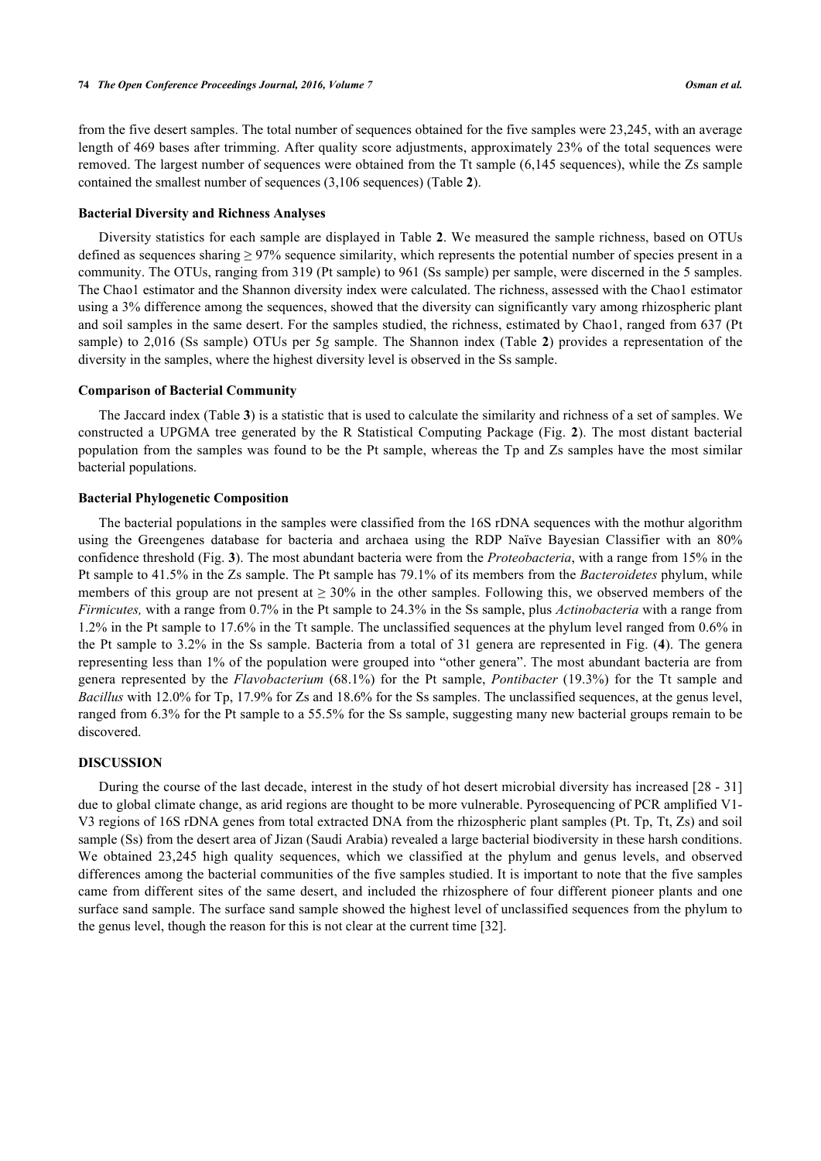from the five desert samples. The total number of sequences obtained for the five samples were 23,245, with an average length of 469 bases after trimming. After quality score adjustments, approximately 23% of the total sequences were removed. The largest number of sequences were obtained from the Tt sample (6,145 sequences), while the Zs sample contained the smallest number of sequences (3,106 sequences) (Table **[2](#page-3-0)**).

#### **Bacterial Diversity and Richness Analyses**

Diversity statistics for each sample are displayed in Table **[2](#page-3-0)**. We measured the sample richness, based on OTUs defined as sequences sharing  $\geq$  97% sequence similarity, which represents the potential number of species present in a community. The OTUs, ranging from 319 (Pt sample) to 961 (Ss sample) per sample, were discerned in the 5 samples. The Chao1 estimator and the Shannon diversity index were calculated. The richness, assessed with the Chao1 estimator using a 3% difference among the sequences, showed that the diversity can significantly vary among rhizospheric plant and soil samples in the same desert. For the samples studied, the richness, estimated by Chao1, ranged from 637 (Pt sample) to 2,016 (Ss sample) OTUs per 5g sample. The Shannon index (Table **[2](#page-3-0)**) provides a representation of the diversity in the samples, where the highest diversity level is observed in the Ss sample.

#### **Comparison of Bacterial Community**

The Jaccard index (Table **[3](#page-5-0)**) is a statistic that is used to calculate the similarity and richness of a set of samples. We constructed a UPGMA tree generated by the R Statistical Computing Package (Fig. **[2](#page-4-0)**). The most distant bacterial population from the samples was found to be the Pt sample, whereas the Tp and Zs samples have the most similar bacterial populations.

#### **Bacterial Phylogenetic Composition**

The bacterial populations in the samples were classified from the 16S rDNA sequences with the mothur algorithm using the Greengenes database for bacteria and archaea using the RDP Naïve Bayesian Classifier with an 80% confidence threshold (Fig. **[3](#page-5-1)**). The most abundant bacteria were from the *Proteobacteria*, with a range from 15% in the Pt sample to 41.5% in the Zs sample. The Pt sample has 79.1% of its members from the *Bacteroidetes* phylum, while members of this group are not present at  $\geq 30\%$  in the other samples. Following this, we observed members of the *Firmicutes,* with a range from 0.7% in the Pt sample to 24.3% in the Ss sample, plus *Actinobacteria* with a range from 1.2% in the Pt sample to 17.6% in the Tt sample. The unclassified sequences at the phylum level ranged from 0.6% in the Pt sample to 3.2% in the Ss sample. Bacteria from a total of 31 genera are represented in Fig. (**[4](#page-6-0)**). The genera representing less than 1% of the population were grouped into "other genera". The most abundant bacteria are from genera represented by the *Flavobacterium* (68.1%) for the Pt sample, *Pontibacter* (19.3%) for the Tt sample and *Bacillus* with 12.0% for Tp, 17.9% for Zs and 18.6% for the Ss samples. The unclassified sequences, at the genus level, ranged from 6.3% for the Pt sample to a 55.5% for the Ss sample, suggesting many new bacterial groups remain to be discovered.

# **DISCUSSION**

<span id="page-4-0"></span>During the course of the last decade, interest in the study of hot desert microbial diversity has increased [[28](#page-8-14) - [31](#page-8-15)] due to global climate change, as arid regions are thought to be more vulnerable. Pyrosequencing of PCR amplified V1- V3 regions of 16S rDNA genes from total extracted DNA from the rhizospheric plant samples (Pt. Tp, Tt, Zs) and soil sample (Ss) from the desert area of Jizan (Saudi Arabia) revealed a large bacterial biodiversity in these harsh conditions. We obtained 23,245 high quality sequences, which we classified at the phylum and genus levels, and observed differences among the bacterial communities of the five samples studied. It is important to note that the five samples came from different sites of the same desert, and included the rhizosphere of four different pioneer plants and one surface sand sample. The surface sand sample showed the highest level of unclassified sequences from the phylum to the genus level, though the reason for this is not clear at the current time [[32\]](#page-8-16).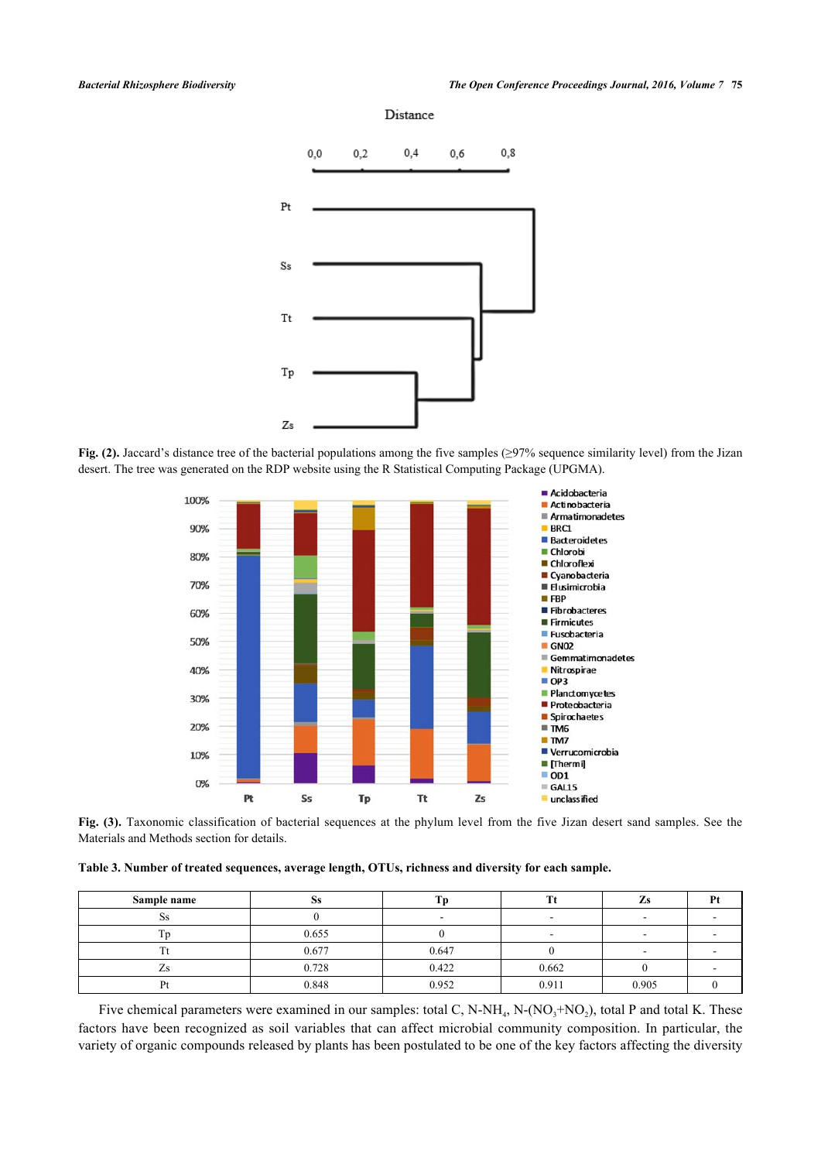

<span id="page-5-1"></span>**Fig. (2).** Jaccard's distance tree of the bacterial populations among the five samples (≥97% sequence similarity level) from the Jizan desert. The tree was generated on the RDP website using the R Statistical Computing Package (UPGMA).



**Fig. (3).** Taxonomic classification of bacterial sequences at the phylum level from the five Jizan desert sand samples. See the Materials and Methods section for details.

<span id="page-5-0"></span>**Table 3. Number of treated sequences, average length, OTUs, richness and diversity for each sample.**

| Sample name | N.J   |       |       |       |  |
|-------------|-------|-------|-------|-------|--|
| ບວ          |       |       | -     |       |  |
|             | 0.655 |       |       |       |  |
|             | 0.677 | 0.647 |       |       |  |
| ്           | 0.728 | 0.422 | 0.662 |       |  |
|             | 0.848 | 0.952 | 0.911 | 0.905 |  |

Five chemical parameters were examined in our samples: total C, N-NH<sub>4</sub>, N-(NO<sub>3</sub>+NO<sub>2</sub>), total P and total K. These factors have been recognized as soil variables that can affect microbial community composition. In particular, the variety of organic compounds released by plants has been postulated to be one of the key factors affecting the diversity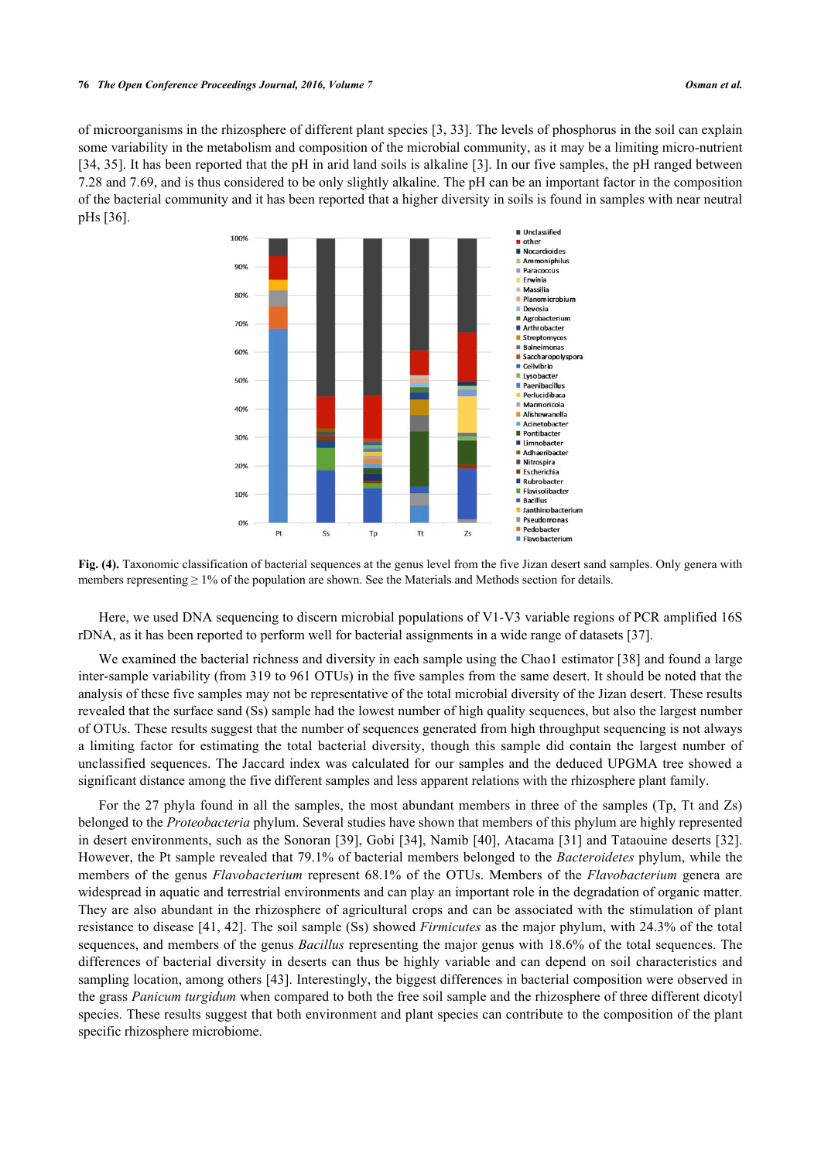<span id="page-6-0"></span>of microorganisms in the rhizosphere of different plant species [\[3,](#page-7-1) [33\]](#page-8-17). The levels of phosphorus in the soil can explain some variability in the metabolism and composition of the microbial community, as it may be a limiting micro-nutrient [\[34](#page-9-0), [35\]](#page-9-1). It has been reported that the pH in arid land soils is alkaline [[3](#page-7-1)]. In our five samples, the pH ranged between 7.28 and 7.69, and is thus considered to be only slightly alkaline. The pH can be an important factor in the composition of the bacterial community and it has been reported that a higher diversity in soils is found in samples with near neutral pHs [[36\]](#page-9-2).



Fig. (4). Taxonomic classification of bacterial sequences at the genus level from the five Jizan desert sand samples. Only genera with members representing  $\geq 1\%$  of the population are shown. See the Materials and Methods section for details.

Here, we used DNA sequencing to discern microbial populations of V1-V3 variable regions of PCR amplified 16S rDNA, as it has been reported to perform well for bacterial assignments in a wide range of datasets [[37\]](#page-9-3).

We examined the bacterial richness and diversity in each sample using the Chao1 estimator [\[38](#page-9-4)] and found a large inter-sample variability (from 319 to 961 OTUs) in the five samples from the same desert. It should be noted that the analysis of these five samples may not be representative of the total microbial diversity of the Jizan desert. These results revealed that the surface sand (Ss) sample had the lowest number of high quality sequences, but also the largest number of OTUs. These results suggest that the number of sequences generated from high throughput sequencing is not always a limiting factor for estimating the total bacterial diversity, though this sample did contain the largest number of unclassified sequences. The Jaccard index was calculated for our samples and the deduced UPGMA tree showed a significant distance among the five different samples and less apparent relations with the rhizosphere plant family.

For the 27 phyla found in all the samples, the most abundant members in three of the samples (Tp, Tt and Zs) belonged to the *Proteobacteria* phylum. Several studies have shown that members of this phylum are highly represented in desert environments, such as the Sonoran [[39\]](#page-9-5), Gobi [[34](#page-9-0)], Namib [[40\]](#page-9-6), Atacama [[31\]](#page-8-15) and Tataouine deserts [\[32\]](#page-8-16). However, the Pt sample revealed that 79.1% of bacterial members belonged to the *Bacteroidetes* phylum, while the members of the genus *Flavobacterium* represent 68.1% of the OTUs. Members of the *Flavobacterium* genera are widespread in aquatic and terrestrial environments and can play an important role in the degradation of organic matter. They are also abundant in the rhizosphere of agricultural crops and can be associated with the stimulation of plant resistance to disease [\[41](#page-9-7), [42](#page-9-8)]. The soil sample (Ss) showed *Firmicutes* as the major phylum, with 24.3% of the total sequences, and members of the genus *Bacillus* representing the major genus with 18.6% of the total sequences. The differences of bacterial diversity in deserts can thus be highly variable and can depend on soil characteristics and sampling location, among others [\[43](#page-9-9)]. Interestingly, the biggest differences in bacterial composition were observed in the grass *Panicum turgidum* when compared to both the free soil sample and the rhizosphere of three different dicotyl species. These results suggest that both environment and plant species can contribute to the composition of the plant specific rhizosphere microbiome.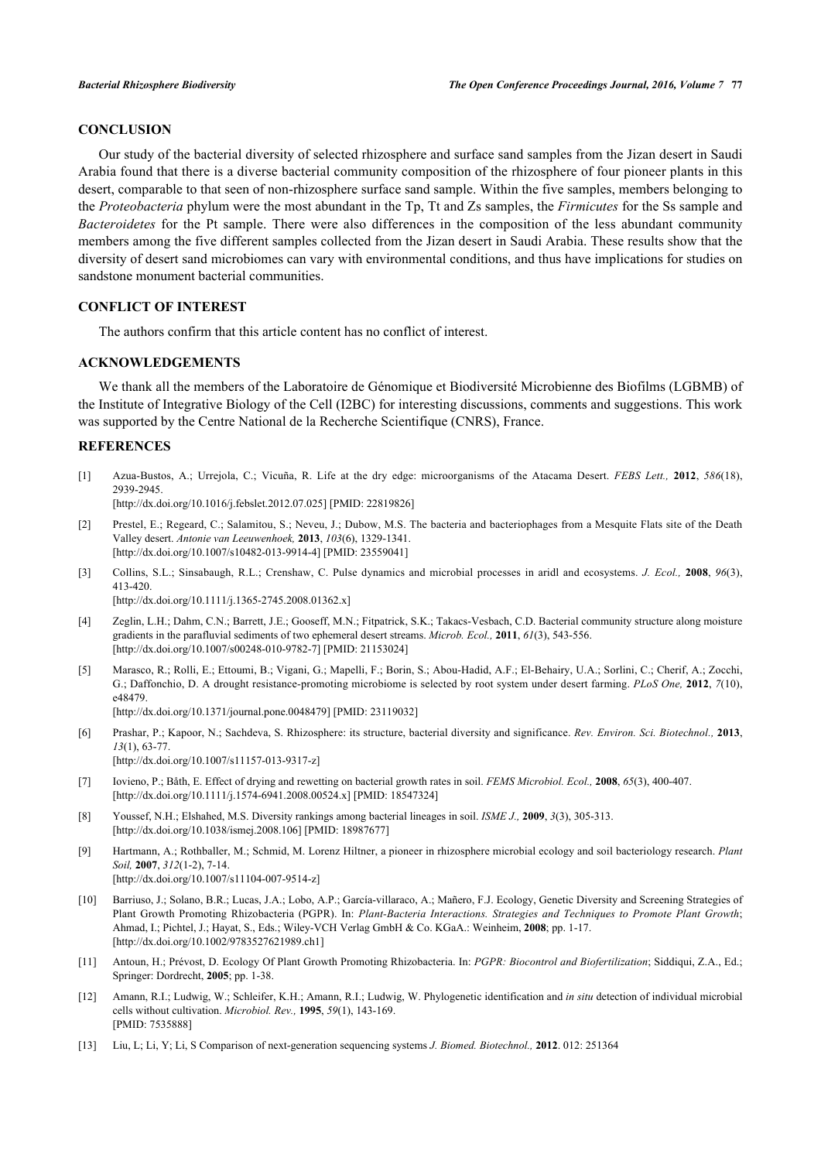# **CONCLUSION**

Our study of the bacterial diversity of selected rhizosphere and surface sand samples from the Jizan desert in Saudi Arabia found that there is a diverse bacterial community composition of the rhizosphere of four pioneer plants in this desert, comparable to that seen of non-rhizosphere surface sand sample. Within the five samples, members belonging to the *Proteobacteria* phylum were the most abundant in the Tp, Tt and Zs samples, the *Firmicutes* for the Ss sample and *Bacteroidetes* for the Pt sample. There were also differences in the composition of the less abundant community members among the five different samples collected from the Jizan desert in Saudi Arabia. These results show that the diversity of desert sand microbiomes can vary with environmental conditions, and thus have implications for studies on sandstone monument bacterial communities.

# **CONFLICT OF INTEREST**

The authors confirm that this article content has no conflict of interest.

### **ACKNOWLEDGEMENTS**

We thank all the members of the Laboratoire de Génomique et Biodiversité Microbienne des Biofilms (LGBMB) of the Institute of Integrative Biology of the Cell (I2BC) for interesting discussions, comments and suggestions. This work was supported by the Centre National de la Recherche Scientifique (CNRS), France.

# **REFERENCES**

<span id="page-7-0"></span>[1] Azua-Bustos, A.; Urrejola, C.; Vicuña, R. Life at the dry edge: microorganisms of the Atacama Desert. *FEBS Lett.,* **2012**, *586*(18), 2939-2945.

[\[http://dx.doi.org/10.1016/j.febslet.2012.07.025](http://dx.doi.org/10.1016/j.febslet.2012.07.025)] [PMID: [22819826\]](http://www.ncbi.nlm.nih.gov/pubmed/22819826)

- [2] Prestel, E.; Regeard, C.; Salamitou, S.; Neveu, J.; Dubow, M.S. The bacteria and bacteriophages from a Mesquite Flats site of the Death Valley desert. *Antonie van Leeuwenhoek,* **2013**, *103*(6), 1329-1341. [\[http://dx.doi.org/10.1007/s10482-013-9914-4\]](http://dx.doi.org/10.1007/s10482-013-9914-4) [PMID: [23559041](http://www.ncbi.nlm.nih.gov/pubmed/23559041)]
- <span id="page-7-1"></span>[3] Collins, S.L.; Sinsabaugh, R.L.; Crenshaw, C. Pulse dynamics and microbial processes in aridl and ecosystems. *J. Ecol.,* **2008**, *96*(3), 413-420.

[\[http://dx.doi.org/10.1111/j.1365-2745.2008.01362.x\]](http://dx.doi.org/10.1111/j.1365-2745.2008.01362.x)

- <span id="page-7-2"></span>[4] Zeglin, L.H.; Dahm, C.N.; Barrett, J.E.; Gooseff, M.N.; Fitpatrick, S.K.; Takacs-Vesbach, C.D. Bacterial community structure along moisture gradients in the parafluvial sediments of two ephemeral desert streams. *Microb. Ecol.,* **2011**, *61*(3), 543-556. [\[http://dx.doi.org/10.1007/s00248-010-9782-7\]](http://dx.doi.org/10.1007/s00248-010-9782-7) [PMID: [21153024](http://www.ncbi.nlm.nih.gov/pubmed/21153024)]
- <span id="page-7-3"></span>[5] Marasco, R.; Rolli, E.; Ettoumi, B.; Vigani, G.; Mapelli, F.; Borin, S.; Abou-Hadid, A.F.; El-Behairy, U.A.; Sorlini, C.; Cherif, A.; Zocchi, G.; Daffonchio, D. A drought resistance-promoting microbiome is selected by root system under desert farming. *PLoS One,* **2012**, *7*(10), e48479. [\[http://dx.doi.org/10.1371/journal.pone.0048479](http://dx.doi.org/10.1371/journal.pone.0048479)] [PMID: [23119032\]](http://www.ncbi.nlm.nih.gov/pubmed/23119032)
- <span id="page-7-4"></span>[6] Prashar, P.; Kapoor, N.; Sachdeva, S. Rhizosphere: its structure, bacterial diversity and significance. *Rev. Environ. Sci. Biotechnol.,* **2013**, *13*(1), 63-77. [\[http://dx.doi.org/10.1007/s11157-013-9317-z](http://dx.doi.org/10.1007/s11157-013-9317-z)]
- <span id="page-7-5"></span>[7] Iovieno, P.; Båth, E. Effect of drying and rewetting on bacterial growth rates in soil. *FEMS Microbiol. Ecol.,* **2008**, *65*(3), 400-407. [\[http://dx.doi.org/10.1111/j.1574-6941.2008.00524.x\]](http://dx.doi.org/10.1111/j.1574-6941.2008.00524.x) [PMID: [18547324](http://www.ncbi.nlm.nih.gov/pubmed/18547324)]
- <span id="page-7-6"></span>[8] Youssef, N.H.; Elshahed, M.S. Diversity rankings among bacterial lineages in soil. *ISME J.,* **2009**, *3*(3), 305-313. [\[http://dx.doi.org/10.1038/ismej.2008.106](http://dx.doi.org/10.1038/ismej.2008.106)] [PMID: [18987677\]](http://www.ncbi.nlm.nih.gov/pubmed/18987677)
- <span id="page-7-7"></span>[9] Hartmann, A.; Rothballer, M.; Schmid, M. Lorenz Hiltner, a pioneer in rhizosphere microbial ecology and soil bacteriology research. *Plant Soil,* **2007**, *312*(1-2), 7-14. [\[http://dx.doi.org/10.1007/s11104-007-9514-z](http://dx.doi.org/10.1007/s11104-007-9514-z)]
- <span id="page-7-8"></span>[10] Barriuso, J.; Solano, B.R.; Lucas, J.A.; Lobo, A.P.; García-villaraco, A.; Mañero, F.J. Ecology, Genetic Diversity and Screening Strategies of Plant Growth Promoting Rhizobacteria (PGPR). In: *Plant-Bacteria Interactions. Strategies and Techniques to Promote Plant Growth*; Ahmad, I.; Pichtel, J.; Hayat, S., Eds.; Wiley-VCH Verlag GmbH & Co. KGaA.: Weinheim, **2008**; pp. 1-17. [\[http://dx.doi.org/10.1002/9783527621989.ch1](http://dx.doi.org/10.1002/9783527621989.ch1)]
- <span id="page-7-9"></span>[11] Antoun, H.; Prévost, D. Ecology Of Plant Growth Promoting Rhizobacteria. In: *PGPR: Biocontrol and Biofertilization*; Siddiqui, Z.A., Ed.; Springer: Dordrecht, **2005**; pp. 1-38.
- <span id="page-7-10"></span>[12] Amann, R.I.; Ludwig, W.; Schleifer, K.H.; Amann, R.I.; Ludwig, W. Phylogenetic identification and *in situ* detection of individual microbial cells without cultivation. *Microbiol. Rev.,* **1995**, *59*(1), 143-169. [PMID: [7535888\]](http://www.ncbi.nlm.nih.gov/pubmed/7535888)
- <span id="page-7-11"></span>[13] Liu, L; Li, Y; Li, S Comparison of next-generation sequencing systems *J. Biomed. Biotechnol.,* **2012**. 012: 251364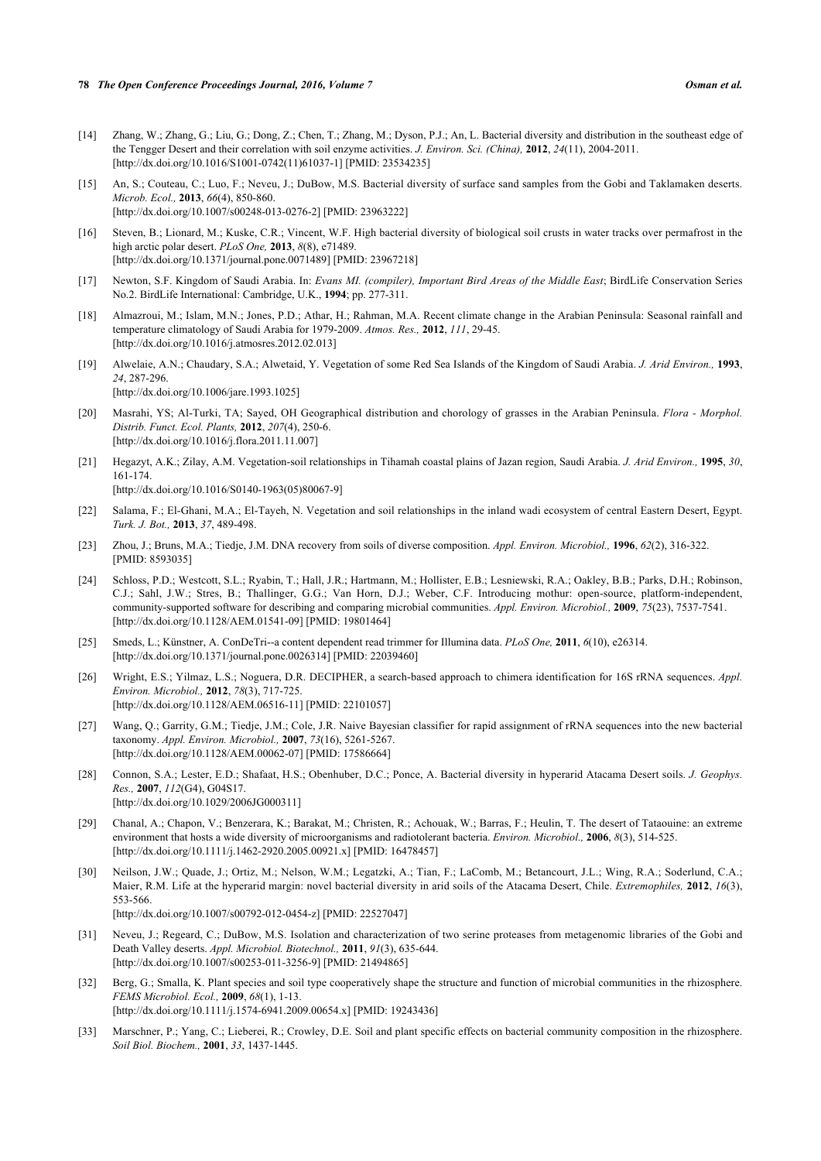- <span id="page-8-0"></span>[14] Zhang, W.; Zhang, G.; Liu, G.; Dong, Z.; Chen, T.; Zhang, M.; Dyson, P.J.; An, L. Bacterial diversity and distribution in the southeast edge of the Tengger Desert and their correlation with soil enzyme activities. *J. Environ. Sci. (China),* **2012**, *24*(11), 2004-2011. [\[http://dx.doi.org/10.1016/S1001-0742\(11\)61037-1\]](http://dx.doi.org/10.1016/S1001-0742(11)61037-1) [PMID: [23534235](http://www.ncbi.nlm.nih.gov/pubmed/23534235)]
- <span id="page-8-1"></span>[15] An, S.; Couteau, C.; Luo, F.; Neveu, J.; DuBow, M.S. Bacterial diversity of surface sand samples from the Gobi and Taklamaken deserts. *Microb. Ecol.,* **2013**, *66*(4), 850-860. [\[http://dx.doi.org/10.1007/s00248-013-0276-2\]](http://dx.doi.org/10.1007/s00248-013-0276-2) [PMID: [23963222](http://www.ncbi.nlm.nih.gov/pubmed/23963222)]
- <span id="page-8-2"></span>[16] Steven, B.; Lionard, M.; Kuske, C.R.; Vincent, W.F. High bacterial diversity of biological soil crusts in water tracks over permafrost in the high arctic polar desert. *PLoS One,* **2013**, *8*(8), e71489. [\[http://dx.doi.org/10.1371/journal.pone.0071489](http://dx.doi.org/10.1371/journal.pone.0071489)] [PMID: [23967218\]](http://www.ncbi.nlm.nih.gov/pubmed/23967218)
- <span id="page-8-3"></span>[17] Newton, S.F. Kingdom of Saudi Arabia. In: *Evans MI. (compiler), Important Bird Areas of the Middle East*; BirdLife Conservation Series No.2. BirdLife International: Cambridge, U.K., **1994**; pp. 277-311.
- <span id="page-8-4"></span>[18] Almazroui, M.; Islam, M.N.; Jones, P.D.; Athar, H.; Rahman, M.A. Recent climate change in the Arabian Peninsula: Seasonal rainfall and temperature climatology of Saudi Arabia for 1979-2009. *Atmos. Res.,* **2012**, *111*, 29-45. [\[http://dx.doi.org/10.1016/j.atmosres.2012.02.013](http://dx.doi.org/10.1016/j.atmosres.2012.02.013)]
- <span id="page-8-5"></span>[19] Alwelaie, A.N.; Chaudary, S.A.; Alwetaid, Y. Vegetation of some Red Sea Islands of the Kingdom of Saudi Arabia. *J. Arid Environ.,* **1993**, *24*, 287-296. [\[http://dx.doi.org/10.1006/jare.1993.1025\]](http://dx.doi.org/10.1006/jare.1993.1025)
- <span id="page-8-6"></span>[20] Masrahi, YS; Al-Turki, TA; Sayed, OH Geographical distribution and chorology of grasses in the Arabian Peninsula. *Flora - Morphol. Distrib. Funct. Ecol. Plants,* **2012**, *207*(4), 250-6. [\[http://dx.doi.org/10.1016/j.flora.2011.11.007](http://dx.doi.org/10.1016/j.flora.2011.11.007)]
- <span id="page-8-7"></span>[21] Hegazyt, A.K.; Zilay, A.M. Vegetation-soil relationships in Tihamah coastal plains of Jazan region, Saudi Arabia. *J. Arid Environ.,* **1995**, *30*, 161-174.

[\[http://dx.doi.org/10.1016/S0140-1963\(05\)80067-9\]](http://dx.doi.org/10.1016/S0140-1963(05)80067-9)

- <span id="page-8-8"></span>[22] Salama, F.; El-Ghani, M.A.; El-Tayeh, N. Vegetation and soil relationships in the inland wadi ecosystem of central Eastern Desert, Egypt. *Turk. J. Bot.,* **2013**, *37*, 489-498.
- <span id="page-8-9"></span>[23] Zhou, J.; Bruns, M.A.; Tiedje, J.M. DNA recovery from soils of diverse composition. *Appl. Environ. Microbiol.,* **1996**, *62*(2), 316-322. [PMID: [8593035\]](http://www.ncbi.nlm.nih.gov/pubmed/8593035)
- <span id="page-8-10"></span>[24] Schloss, P.D.; Westcott, S.L.; Ryabin, T.; Hall, J.R.; Hartmann, M.; Hollister, E.B.; Lesniewski, R.A.; Oakley, B.B.; Parks, D.H.; Robinson, C.J.; Sahl, J.W.; Stres, B.; Thallinger, G.G.; Van Horn, D.J.; Weber, C.F. Introducing mothur: open-source, platform-independent, community-supported software for describing and comparing microbial communities. *Appl. Environ. Microbiol.,* **2009**, *75*(23), 7537-7541. [\[http://dx.doi.org/10.1128/AEM.01541-09](http://dx.doi.org/10.1128/AEM.01541-09)] [PMID: [19801464\]](http://www.ncbi.nlm.nih.gov/pubmed/19801464)
- <span id="page-8-11"></span>[25] Smeds, L.; Künstner, A. ConDeTri--a content dependent read trimmer for Illumina data. *PLoS One,* **2011**, *6*(10), e26314. [\[http://dx.doi.org/10.1371/journal.pone.0026314](http://dx.doi.org/10.1371/journal.pone.0026314)] [PMID: [22039460\]](http://www.ncbi.nlm.nih.gov/pubmed/22039460)
- <span id="page-8-12"></span>[26] Wright, E.S.; Yilmaz, L.S.; Noguera, D.R. DECIPHER, a search-based approach to chimera identification for 16S rRNA sequences. *Appl. Environ. Microbiol.,* **2012**, *78*(3), 717-725. [\[http://dx.doi.org/10.1128/AEM.06516-11](http://dx.doi.org/10.1128/AEM.06516-11)] [PMID: [22101057\]](http://www.ncbi.nlm.nih.gov/pubmed/22101057)
- <span id="page-8-13"></span>[27] Wang, Q.; Garrity, G.M.; Tiedje, J.M.; Cole, J.R. Naive Bayesian classifier for rapid assignment of rRNA sequences into the new bacterial taxonomy. *Appl. Environ. Microbiol.,* **2007**, *73*(16), 5261-5267. [\[http://dx.doi.org/10.1128/AEM.00062-07](http://dx.doi.org/10.1128/AEM.00062-07)] [PMID: [17586664\]](http://www.ncbi.nlm.nih.gov/pubmed/17586664)
- <span id="page-8-14"></span>[28] Connon, S.A.; Lester, E.D.; Shafaat, H.S.; Obenhuber, D.C.; Ponce, A. Bacterial diversity in hyperarid Atacama Desert soils. *J. Geophys. Res.,* **2007**, *112*(G4), G04S17. [\[http://dx.doi.org/10.1029/2006JG000311\]](http://dx.doi.org/10.1029/2006JG000311)
- [29] Chanal, A.; Chapon, V.; Benzerara, K.; Barakat, M.; Christen, R.; Achouak, W.; Barras, F.; Heulin, T. The desert of Tataouine: an extreme environment that hosts a wide diversity of microorganisms and radiotolerant bacteria. *Environ. Microbiol.,* **2006**, *8*(3), 514-525. [\[http://dx.doi.org/10.1111/j.1462-2920.2005.00921.x\]](http://dx.doi.org/10.1111/j.1462-2920.2005.00921.x) [PMID: [16478457](http://www.ncbi.nlm.nih.gov/pubmed/16478457)]
- [30] Neilson, J.W.; Quade, J.; Ortiz, M.; Nelson, W.M.; Legatzki, A.; Tian, F.; LaComb, M.; Betancourt, J.L.; Wing, R.A.; Soderlund, C.A.; Maier, R.M. Life at the hyperarid margin: novel bacterial diversity in arid soils of the Atacama Desert, Chile. *Extremophiles,* **2012**, *16*(3), 553-566. [\[http://dx.doi.org/10.1007/s00792-012-0454-z](http://dx.doi.org/10.1007/s00792-012-0454-z)] [PMID: [22527047](http://www.ncbi.nlm.nih.gov/pubmed/22527047)]
- <span id="page-8-15"></span>[31] Neveu, J.; Regeard, C.; DuBow, M.S. Isolation and characterization of two serine proteases from metagenomic libraries of the Gobi and Death Valley deserts. *Appl. Microbiol. Biotechnol.,* **2011**, *91*(3), 635-644. [\[http://dx.doi.org/10.1007/s00253-011-3256-9\]](http://dx.doi.org/10.1007/s00253-011-3256-9) [PMID: [21494865](http://www.ncbi.nlm.nih.gov/pubmed/21494865)]
- <span id="page-8-16"></span>[32] Berg, G.; Smalla, K. Plant species and soil type cooperatively shape the structure and function of microbial communities in the rhizosphere. *FEMS Microbiol. Ecol.,* **2009**, *68*(1), 1-13. [\[http://dx.doi.org/10.1111/j.1574-6941.2009.00654.x\]](http://dx.doi.org/10.1111/j.1574-6941.2009.00654.x) [PMID: [19243436](http://www.ncbi.nlm.nih.gov/pubmed/19243436)]
- <span id="page-8-17"></span>[33] Marschner, P.; Yang, C.; Lieberei, R.; Crowley, D.E. Soil and plant specific effects on bacterial community composition in the rhizosphere. *Soil Biol. Biochem.,* **2001**, *33*, 1437-1445.